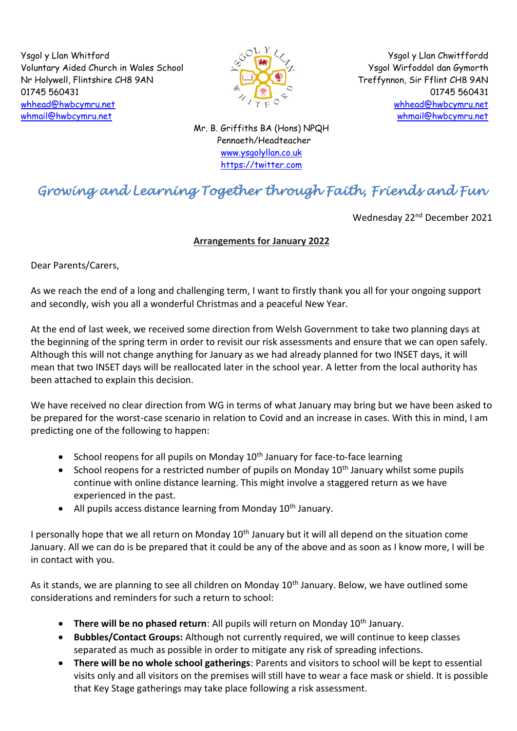Ysgol y Llan Whitford Voluntary Aided Church in Wales School Nr Holywell, Flintshire CH8 9AN 01745 560431 [whhead@hwbcymru.net](mailto:Head.WhitfordCP@flintshire.gov.uk) [whmail@hwbcymru.net](mailto:whmail@hwbcymru.net)



Ysgol y Llan Chwitffordd Ysgol Wirfoddol dan Gymorth Treffynnon, Sir Fflint CH8 9AN 01745 560431 [whhead@hwbcymru.net](mailto:Head.WhitfordCP@flintshire.gov.uk) [whmail@hwbcymru.net](mailto:whmail@hwbcymru.net)

Mr. B. Griffiths BA (Hons) NPQH Pennaeth/Headteacher [www.ysgolyllan.co.uk](http://www.ysgolyllan.co.uk/) [https://twitter.com](https://twitter.com/)

# *Growing and Learning Together through Faith, Friends and Fun*

Wednesday 22<sup>nd</sup> December 2021

## **Arrangements for January 2022**

Dear Parents/Carers,

As we reach the end of a long and challenging term, I want to firstly thank you all for your ongoing support and secondly, wish you all a wonderful Christmas and a peaceful New Year.

At the end of last week, we received some direction from Welsh Government to take two planning days at the beginning of the spring term in order to revisit our risk assessments and ensure that we can open safely. Although this will not change anything for January as we had already planned for two INSET days, it will mean that two INSET days will be reallocated later in the school year. A letter from the local authority has been attached to explain this decision.

We have received no clear direction from WG in terms of what January may bring but we have been asked to be prepared for the worst-case scenario in relation to Covid and an increase in cases. With this in mind, I am predicting one of the following to happen:

- School reopens for all pupils on Monday  $10<sup>th</sup>$  January for face-to-face learning
- School reopens for a restricted number of pupils on Monday  $10<sup>th</sup>$  January whilst some pupils continue with online distance learning. This might involve a staggered return as we have experienced in the past.
- All pupils access distance learning from Monday 10<sup>th</sup> January.

I personally hope that we all return on Monday  $10<sup>th</sup>$  January but it will all depend on the situation come January. All we can do is be prepared that it could be any of the above and as soon as I know more, I will be in contact with you.

As it stands, we are planning to see all children on Monday 10<sup>th</sup> January. Below, we have outlined some considerations and reminders for such a return to school:

- **There will be no phased return**: All pupils will return on Monday 10<sup>th</sup> January.
- **Bubbles/Contact Groups:** Although not currently required, we will continue to keep classes separated as much as possible in order to mitigate any risk of spreading infections.
- **There will be no whole school gatherings**: Parents and visitors to school will be kept to essential visits only and all visitors on the premises will still have to wear a face mask or shield. It is possible that Key Stage gatherings may take place following a risk assessment.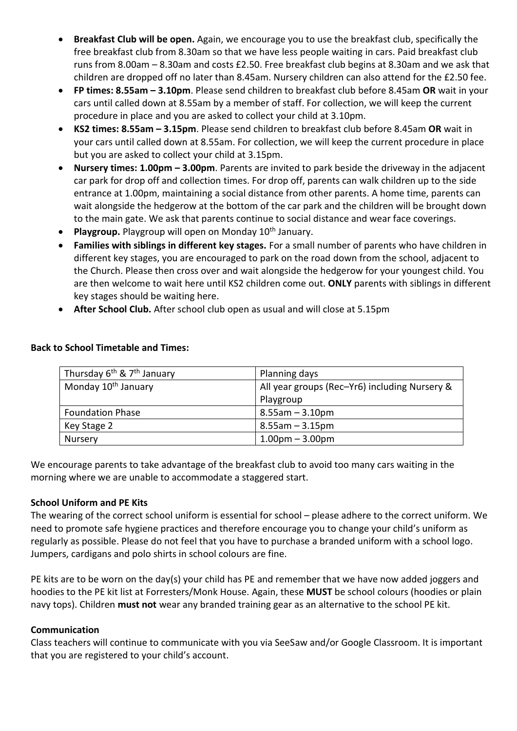- **Breakfast Club will be open.** Again, we encourage you to use the breakfast club, specifically the free breakfast club from 8.30am so that we have less people waiting in cars. Paid breakfast club runs from 8.00am – 8.30am and costs £2.50. Free breakfast club begins at 8.30am and we ask that children are dropped off no later than 8.45am. Nursery children can also attend for the £2.50 fee.
- **FP times: 8.55am – 3.10pm**. Please send children to breakfast club before 8.45am **OR** wait in your cars until called down at 8.55am by a member of staff. For collection, we will keep the current procedure in place and you are asked to collect your child at 3.10pm.
- **KS2 times: 8.55am – 3.15pm**. Please send children to breakfast club before 8.45am **OR** wait in your cars until called down at 8.55am. For collection, we will keep the current procedure in place but you are asked to collect your child at 3.15pm.
- **Nursery times: 1.00pm – 3.00pm**. Parents are invited to park beside the driveway in the adjacent car park for drop off and collection times. For drop off, parents can walk children up to the side entrance at 1.00pm, maintaining a social distance from other parents. A home time, parents can wait alongside the hedgerow at the bottom of the car park and the children will be brought down to the main gate. We ask that parents continue to social distance and wear face coverings.
- Playgroup. Playgroup will open on Monday 10<sup>th</sup> January.
- **Families with siblings in different key stages.** For a small number of parents who have children in different key stages, you are encouraged to park on the road down from the school, adjacent to the Church. Please then cross over and wait alongside the hedgerow for your youngest child. You are then welcome to wait here until KS2 children come out. **ONLY** parents with siblings in different key stages should be waiting here.
- **After School Club.** After school club open as usual and will close at 5.15pm

| Thursday 6 <sup>th</sup> & 7 <sup>th</sup> January | Planning days                                 |
|----------------------------------------------------|-----------------------------------------------|
| Monday 10 <sup>th</sup> January                    | All year groups (Rec-Yr6) including Nursery & |
|                                                    | Playgroup                                     |
| <b>Foundation Phase</b>                            | $8.55$ am $-3.10$ pm                          |
| Key Stage 2                                        | $8.55$ am – $3.15$ pm                         |
| Nursery                                            | $1.00pm - 3.00pm$                             |

## **Back to School Timetable and Times:**

We encourage parents to take advantage of the breakfast club to avoid too many cars waiting in the morning where we are unable to accommodate a staggered start.

## **School Uniform and PE Kits**

The wearing of the correct school uniform is essential for school – please adhere to the correct uniform. We need to promote safe hygiene practices and therefore encourage you to change your child's uniform as regularly as possible. Please do not feel that you have to purchase a branded uniform with a school logo. Jumpers, cardigans and polo shirts in school colours are fine.

PE kits are to be worn on the day(s) your child has PE and remember that we have now added joggers and hoodies to the PE kit list at Forresters/Monk House. Again, these **MUST** be school colours (hoodies or plain navy tops). Children **must not** wear any branded training gear as an alternative to the school PE kit.

#### **Communication**

Class teachers will continue to communicate with you via SeeSaw and/or Google Classroom. It is important that you are registered to your child's account.